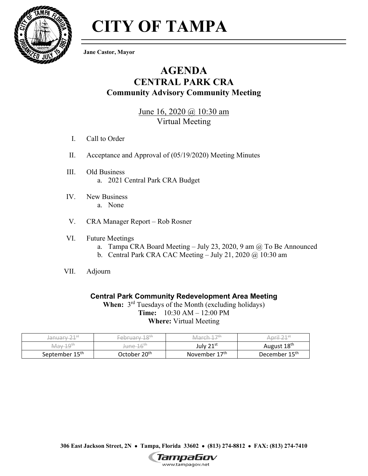

# **CITY OF TAMPA**

**Jane Castor, Mayor**

## **AGENDA CENTRAL PARK CRA Community Advisory Community Meeting**

June 16, 2020 @ 10:30 am Virtual Meeting

- I. Call to Order
- II. Acceptance and Approval of (05/19/2020) Meeting Minutes
- III. Old Business a. 2021 Central Park CRA Budget
- IV. New Business a. None
- V. CRA Manager Report Rob Rosner
- VI. Future Meetings
	- a. Tampa CRA Board Meeting July 23, 2020, 9 am  $\omega$  To Be Announced
	- b. Central Park CRA CAC Meeting July 21, 2020  $\omega$  10:30 am
- VII. Adjourn

#### **Central Park Community Redevelopment Area Meeting**

When:  $3<sup>rd</sup>$  Tuesdays of the Month (excluding holidays) **Time:** 10:30 AM – 12:00 PM **Where:** Virtual Meeting

| $\neg$ 4 st<br>$\bigcap_{i=1}^{n} \bigcap_{i=1}^{n} \bigcap_{i=1}^{n} \bigcap_{i=1}^{n} \bigcap_{i=1}^{n} \bigcap_{i=1}^{n} \bigcap_{i=1}^{n} \bigcap_{i=1}^{n} \bigcap_{i=1}^{n} \bigcap_{i=1}^{n} \bigcap_{i=1}^{n} \bigcap_{i=1}^{n} \bigcap_{i=1}^{n} \bigcap_{i=1}^{n} \bigcap_{i=1}^{n} \bigcap_{i=1}^{n} \bigcap_{i=1}^{n} \bigcap_{i=1}^{n} \bigcap_{i=1}^{n} \bigcap_{i=1}^{n}$<br><del>Januar</del><br><u>_ _</u> | 10H<br>ᆂ<br>U N I        | 1 7th<br>$1 \cap r \cap h$<br>viare | -:I ㄱㅋ5탄<br>. nril      |
|-----------------------------------------------------------------------------------------------------------------------------------------------------------------------------------------------------------------------------------------------------------------------------------------------------------------------------------------------------------------------------------------------------------------------------|--------------------------|-------------------------------------|-------------------------|
| $10^{th}$                                                                                                                                                                                                                                                                                                                                                                                                                   | sune 16 <sup>th</sup>    | July $21^{st}$                      | August 18 <sup>th</sup> |
| September 15 <sup>th</sup>                                                                                                                                                                                                                                                                                                                                                                                                  | October 20 <sup>th</sup> | November 17 <sup>th</sup>           | December 15th           |

**306 East Jackson Street, 2N Tampa, Florida 33602 (813) 274-8812 FAX: (813) 274-7410** 

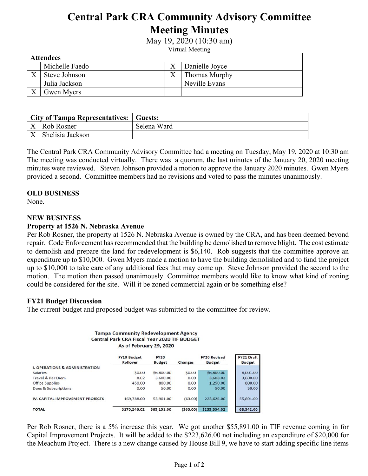# **Central Park CRA Community Advisory Committee Meeting Minutes**

May 19, 2020 (10:30 am)

Virtual Meeting

| <b>Attendees</b> |                |  |                      |  |  |  |
|------------------|----------------|--|----------------------|--|--|--|
|                  | Michelle Faedo |  | Danielle Joyce       |  |  |  |
|                  | Steve Johnson  |  | <b>Thomas Murphy</b> |  |  |  |
|                  | Julia Jackson  |  | Neville Evans        |  |  |  |
|                  | Gwen Myers     |  |                      |  |  |  |

| City of Tampa Representatives:   Guests: |             |
|------------------------------------------|-------------|
| $\mid X \mid$ Rob Rosner                 | Selena Ward |
| $\vert X \vert$ Shelisia Jackson         |             |

The Central Park CRA Community Advisory Committee had a meeting on Tuesday, May 19, 2020 at 10:30 am The meeting was conducted virtually. There was a quorum, the last minutes of the January 20, 2020 meeting minutes were reviewed. Steven Johnson provided a motion to approve the January 2020 minutes. Gwen Myers provided a second. Committee members had no revisions and voted to pass the minutes unanimously.

#### **OLD BUSINESS**

None.

#### **NEW BUSINESS**

#### **Property at 1526 N. Nebraska Avenue**

Per Rob Rosner, the property at 1526 N. Nebraska Avenue is owned by the CRA, and has been deemed beyond repair. Code Enforcement has recommended that the building be demolished to remove blight. The cost estimate to demolish and prepare the land for redevelopment is \$6,140. Rob suggests that the committee approve an expenditure up to \$10,000. Gwen Myers made a motion to have the building demolished and to fund the project up to \$10,000 to take care of any additional fees that may come up. Steve Johnson provided the second to the motion. The motion then passed unanimously. Committee members would like to know what kind of zoning could be considered for the site. Will it be zoned commercial again or be something else?

#### **FY21 Budget Discussion**

The current budget and proposed budget was submitted to the committee for review.

**Tampa Community Redevelopment Agency** 

|                                           | <b>Central Park CRA Fiscal Year 2020 TIF BUDGET</b><br>As of February 29, 2020 |                              |                |                                      |                                    |
|-------------------------------------------|--------------------------------------------------------------------------------|------------------------------|----------------|--------------------------------------|------------------------------------|
|                                           | <b>FY19 Budget</b><br>Rollover                                                 | <b>FY20</b><br><b>Budget</b> | <b>Changes</b> | <b>FY20 Revised</b><br><b>Budget</b> | <b>FY21 Draft</b><br><b>Budget</b> |
| <b>I. OPERATIONS &amp; ADMINISTRATION</b> |                                                                                |                              |                |                                      |                                    |
| <b>Salaries</b>                           | \$0.00                                                                         | \$6,800.00                   | \$0.00         | \$6,800.00                           | 8,001.00                           |
| <b>Travel &amp; Per Diem</b>              | 8.02                                                                           | 3.600.00                     | 0.00           | 3.608.02                             | 3,600.00                           |
| <b>Office Supplies</b>                    | 450.00                                                                         | 800.00                       | 0.00           | 1,250.00                             | 800.00                             |
| <b>Dues &amp; Subscriptions</b>           | 0.00                                                                           | 50.00                        | 0.00           | 50.00                                | 50.00                              |
| IV. CAPITAL IMPROVEMENT PROJECTS          | 169,788.00                                                                     | 53,901.00                    | (63.00)        | 223,626.00                           | 55,891.00                          |
| <b>TOTAL</b>                              | \$170,246.02                                                                   | \$65,151.00                  | (563.00)       | \$235,334.02                         | 68,342.00                          |

Per Rob Rosner, there is a 5% increase this year. We got another \$55,891.00 in TIF revenue coming in for Capital Improvement Projects. It will be added to the \$223,626.00 not including an expenditure of \$20,000 for the Meachum Project. There is a new change caused by House Bill 9, we have to start adding specific line items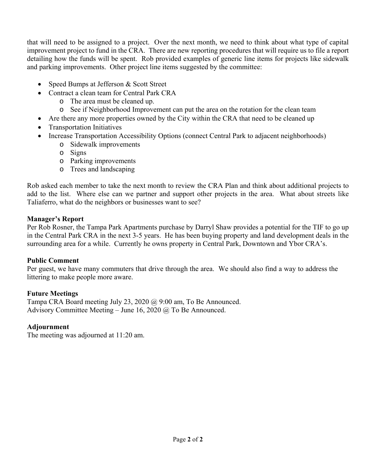that will need to be assigned to a project. Over the next month, we need to think about what type of capital improvement project to fund in the CRA. There are new reporting procedures that will require us to file a report detailing how the funds will be spent. Rob provided examples of generic line items for projects like sidewalk and parking improvements. Other project line items suggested by the committee:

- Speed Bumps at Jefferson & Scott Street
- Contract a clean team for Central Park CRA
	- o The area must be cleaned up.
	- o See if Neighborhood Improvement can put the area on the rotation for the clean team
- Are there any more properties owned by the City within the CRA that need to be cleaned up
- Transportation Initiatives
- Increase Transportation Accessibility Options (connect Central Park to adjacent neighborhoods)
	- o Sidewalk improvements
	- o Signs
	- o Parking improvements
	- o Trees and landscaping

Rob asked each member to take the next month to review the CRA Plan and think about additional projects to add to the list. Where else can we partner and support other projects in the area. What about streets like Taliaferro, what do the neighbors or businesses want to see?

#### **Manager's Report**

Per Rob Rosner, the Tampa Park Apartments purchase by Darryl Shaw provides a potential for the TIF to go up in the Central Park CRA in the next 3-5 years. He has been buying property and land development deals in the surrounding area for a while. Currently he owns property in Central Park, Downtown and Ybor CRA's.

#### **Public Comment**

Per guest, we have many commuters that drive through the area. We should also find a way to address the littering to make people more aware.

#### **Future Meetings**

Tampa CRA Board meeting July 23, 2020 @ 9:00 am, To Be Announced. Advisory Committee Meeting – June 16, 2020  $\omega$  To Be Announced.

#### **Adjournment**

The meeting was adjourned at 11:20 am.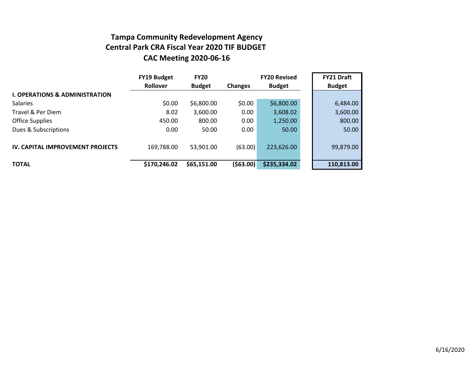### **Tampa Community Redevelopment Agency Central Park CRA Fiscal Year 2020 TIF BUDGET CAC Meeting 2020-06-16**

|                                           | <b>FY19 Budget</b> | <b>FY20</b>   |                | <b>FY20 Revised</b> | <b>FY21 Draft</b> |
|-------------------------------------------|--------------------|---------------|----------------|---------------------|-------------------|
|                                           | Rollover           | <b>Budget</b> | <b>Changes</b> | <b>Budget</b>       | <b>Budget</b>     |
| <b>I. OPERATIONS &amp; ADMINISTRATION</b> |                    |               |                |                     |                   |
| <b>Salaries</b>                           | \$0.00             | \$6,800.00    | \$0.00         | \$6,800.00          | 6,484.00          |
| Travel & Per Diem                         | 8.02               | 3,600.00      | 0.00           | 3,608.02            | 3,600.00          |
| <b>Office Supplies</b>                    | 450.00             | 800.00        | 0.00           | 1,250.00            | 800.00            |
| Dues & Subscriptions                      | 0.00               | 50.00         | 0.00           | 50.00               | 50.00             |
| <b>IV. CAPITAL IMPROVEMENT PROJECTS</b>   | 169,788.00         | 53,901.00     | (63.00)        | 223,626.00          | 99,879.00         |
| <b>TOTAL</b>                              | \$170,246.02       | \$65,151.00   | (563.00)       | \$235,334.02        | 110,813.00        |